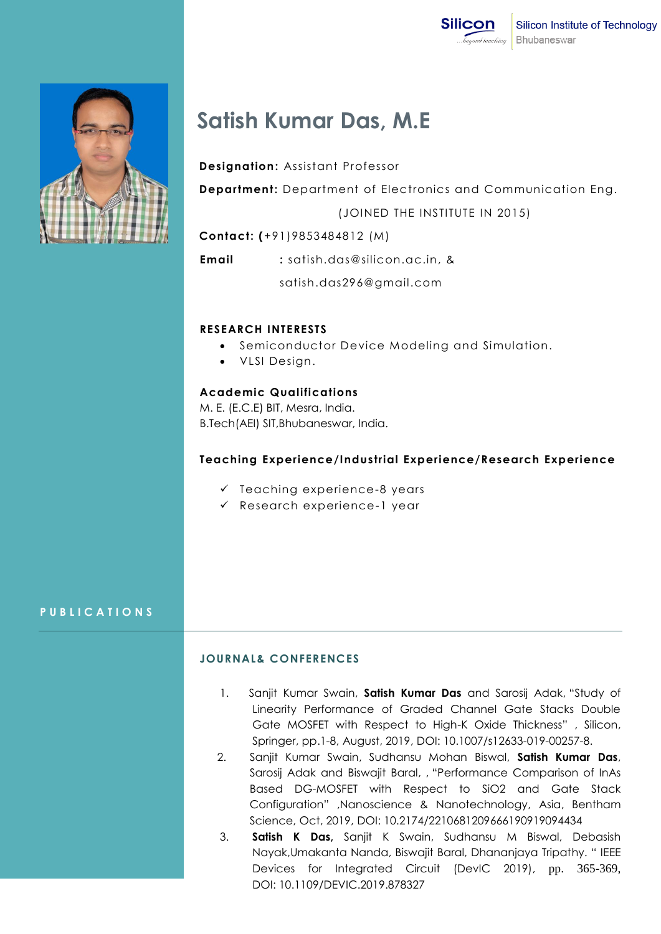



# **Satish Kumar Das, M.E**

 **Designation:** Assistant Professor

 **Department:** Department of Electronics and Communication Eng.

(JOINED THE INSTITUTE IN 2015)

 **Contact: (**+91)9853484812 (M)

**Email :** satish.das@silicon.ac.in, &

satish.das296@gmail.com

## **RESEARCH INTERESTS**

- **•** Semiconductor Device Modeling and Simulation.
- VLSI Design.

## **Academic Qualifications**

M. E. (E.C.E) BIT, Mesra, India. B.Tech(AEI) SIT,Bhubaneswar, India.

## **Teaching Experience/Industrial Experience/Research Experience**

- $\checkmark$  Teaching experience-8 years
- $\checkmark$  Research experience-1 year

## **P U B L I C A T I O N S**

## **JOURNAL& CONFERENCES**

- 1.Sanjit Kumar Swain, **Satish Kumar Das** and Sarosij Adak, "Study of Linearity Performance of Graded Channel Gate Stacks Double Gate MOSFET with Respect to High-K Oxide Thickness" , Silicon, Springer, pp.1-8, August, 2019, DOI: 10.1007/s12633-019-00257-8.
- 2. Sanjit Kumar Swain, Sudhansu Mohan Biswal, **Satish Kumar Das**, Sarosij Adak and Biswajit Baral, , "Performance Comparison of InAs Based DG-MOSFET with Respect to SiO2 and Gate Stack Configuration" ,Nanoscience & Nanotechnology, Asia, Bentham Science, Oct, 2019, DOI: 10.2174/2210681209666190919094434
- 3. **Satish K Das,** Sanjit K Swain, Sudhansu M Biswal, Debasish Nayak,Umakanta Nanda, Biswajit Baral, Dhananjaya Tripathy. " IEEE Devices for Integrated Circuit (DevIC 2019), pp. 365-369, DOI: 10.1109/DEVIC.2019.878327